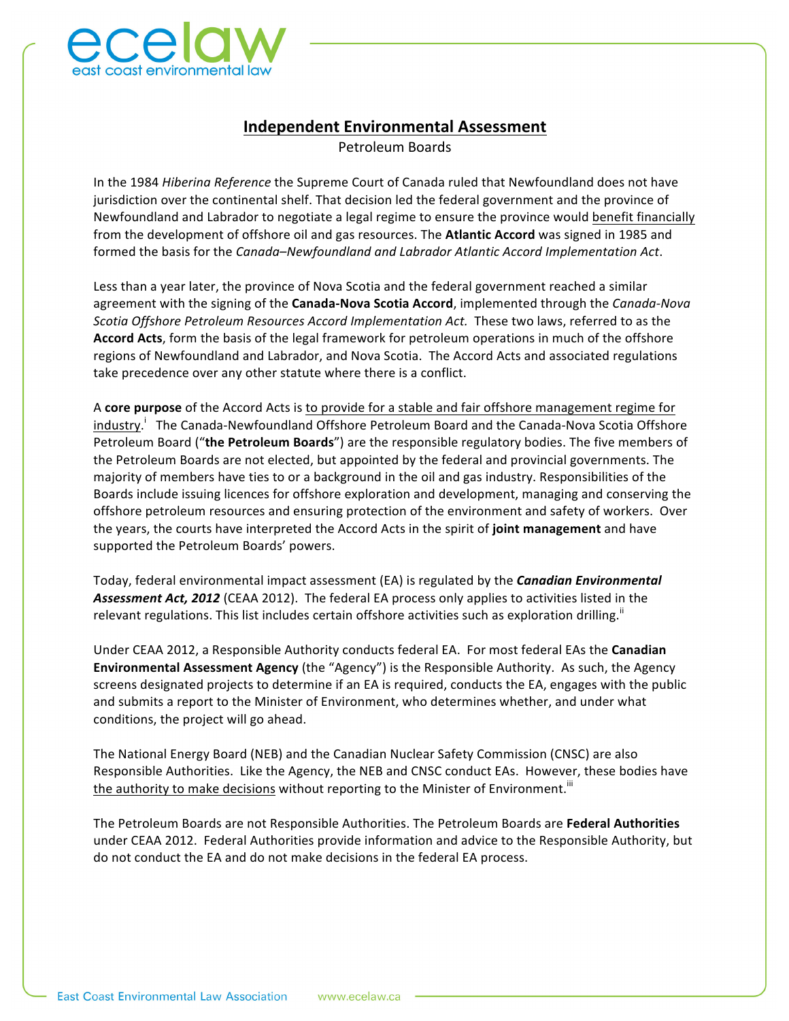

## **Independent Environmental Assessment**

Petroleum Boards 

In the 1984 *Hibering Reference* the Supreme Court of Canada ruled that Newfoundland does not have jurisdiction over the continental shelf. That decision led the federal government and the province of Newfoundland and Labrador to negotiate a legal regime to ensure the province would benefit financially from the development of offshore oil and gas resources. The **Atlantic Accord** was signed in 1985 and formed the basis for the *Canada–Newfoundland and Labrador Atlantic Accord Implementation Act*.

Less than a year later, the province of Nova Scotia and the federal government reached a similar agreement with the signing of the **Canada-Nova Scotia Accord**, implemented through the *Canada-Nova Scotia Offshore Petroleum Resources Accord Implementation Act.* These two laws, referred to as the Accord Acts, form the basis of the legal framework for petroleum operations in much of the offshore regions of Newfoundland and Labrador, and Nova Scotia. The Accord Acts and associated regulations take precedence over any other statute where there is a conflict.

A **core purpose** of the Accord Acts is to provide for a stable and fair offshore management regime for industry.<sup>i</sup> The Canada-Newfoundland Offshore Petroleum Board and the Canada-Nova Scotia Offshore Petroleum Board ("the Petroleum Boards") are the responsible regulatory bodies. The five members of the Petroleum Boards are not elected, but appointed by the federal and provincial governments. The majority of members have ties to or a background in the oil and gas industry. Responsibilities of the Boards include issuing licences for offshore exploration and development, managing and conserving the offshore petroleum resources and ensuring protection of the environment and safety of workers. Over the years, the courts have interpreted the Accord Acts in the spirit of joint management and have supported the Petroleum Boards' powers.

Today, federal environmental impact assessment (EA) is regulated by the **Canadian Environmental** Assessment Act, 2012 (CEAA 2012). The federal EA process only applies to activities listed in the relevant regulations. This list includes certain offshore activities such as exploration drilling.<sup>"</sup>

Under CEAA 2012, a Responsible Authority conducts federal EA. For most federal EAs the **Canadian Environmental Assessment Agency** (the "Agency") is the Responsible Authority. As such, the Agency screens designated projects to determine if an EA is required, conducts the EA, engages with the public and submits a report to the Minister of Environment, who determines whether, and under what conditions, the project will go ahead.

The National Energy Board (NEB) and the Canadian Nuclear Safety Commission (CNSC) are also Responsible Authorities. Like the Agency, the NEB and CNSC conduct EAs. However, these bodies have the authority to make decisions without reporting to the Minister of Environment.<sup>iii</sup>

The Petroleum Boards are not Responsible Authorities. The Petroleum Boards are Federal Authorities under CEAA 2012. Federal Authorities provide information and advice to the Responsible Authority, but do not conduct the EA and do not make decisions in the federal EA process.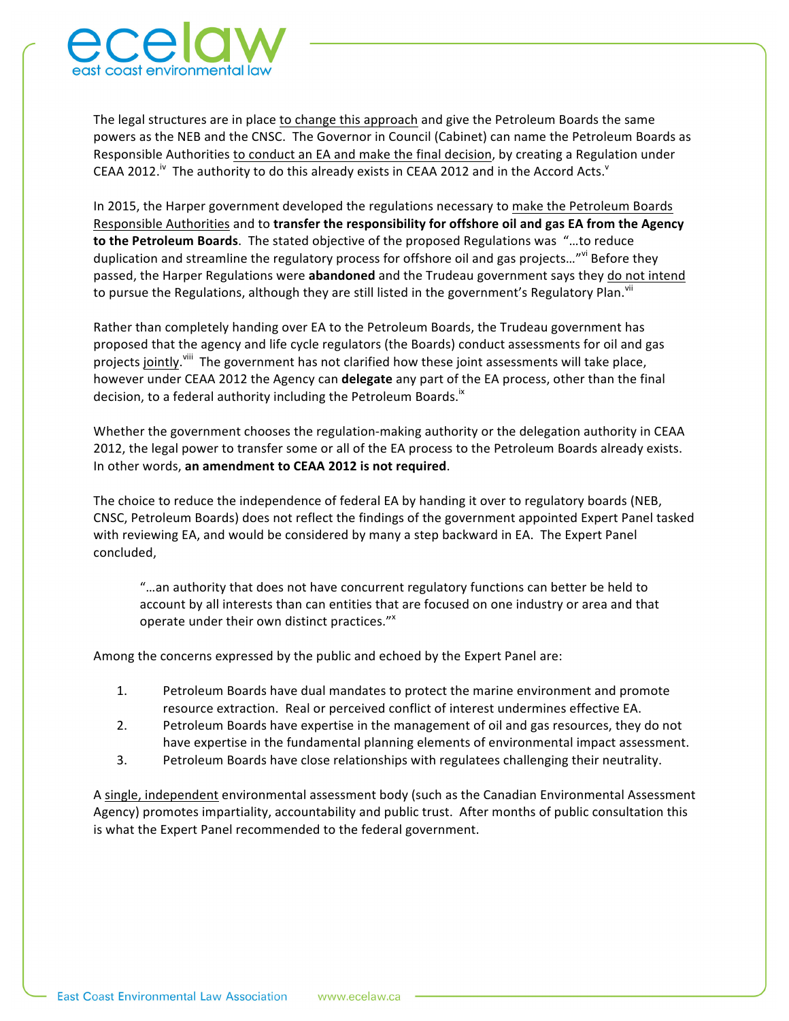

The legal structures are in place to change this approach and give the Petroleum Boards the same powers as the NEB and the CNSC. The Governor in Council (Cabinet) can name the Petroleum Boards as Responsible Authorities to conduct an EA and make the final decision, by creating a Regulation under CEAA 2012.<sup>iv</sup> The authority to do this already exists in CEAA 2012 and in the Accord Acts.<sup>v</sup>

In 2015, the Harper government developed the regulations necessary to make the Petroleum Boards Responsible Authorities and to **transfer the responsibility for offshore oil and gas EA from the Agency to the Petroleum Boards**. The stated objective of the proposed Regulations was "...to reduce duplication and streamline the regulatory process for offshore oil and gas projects..."<sup>vi</sup> Before they passed, the Harper Regulations were **abandoned** and the Trudeau government says they do not intend to pursue the Regulations, although they are still listed in the government's Regulatory Plan.  $``^{\text{ii}}$ 

Rather than completely handing over EA to the Petroleum Boards, the Trudeau government has proposed that the agency and life cycle regulators (the Boards) conduct assessments for oil and gas projects jointly.<sup>viii</sup> The government has not clarified how these joint assessments will take place, however under CEAA 2012 the Agency can delegate any part of the EA process, other than the final decision, to a federal authority including the Petroleum Boards.<sup>ix</sup>

Whether the government chooses the regulation-making authority or the delegation authority in CEAA 2012, the legal power to transfer some or all of the EA process to the Petroleum Boards already exists. In other words, an amendment to CEAA 2012 is not required.

The choice to reduce the independence of federal EA by handing it over to regulatory boards (NEB, CNSC, Petroleum Boards) does not reflect the findings of the government appointed Expert Panel tasked with reviewing EA, and would be considered by many a step backward in EA. The Expert Panel concluded, 

"...an authority that does not have concurrent regulatory functions can better be held to account by all interests than can entities that are focused on one industry or area and that operate under their own distinct practices." $x^2$ 

Among the concerns expressed by the public and echoed by the Expert Panel are:

- 1. Petroleum Boards have dual mandates to protect the marine environment and promote resource extraction. Real or perceived conflict of interest undermines effective EA.
- 2. Petroleum Boards have expertise in the management of oil and gas resources, they do not have expertise in the fundamental planning elements of environmental impact assessment.
- 3. Petroleum Boards have close relationships with regulatees challenging their neutrality.

A single, independent environmental assessment body (such as the Canadian Environmental Assessment Agency) promotes impartiality, accountability and public trust. After months of public consultation this is what the Expert Panel recommended to the federal government.